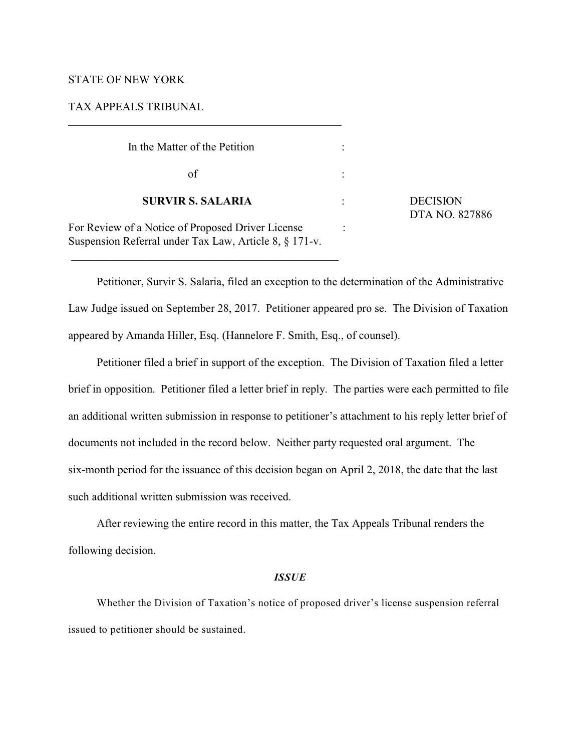# STATE OF NEW YORK

# TAX APPEALS TRIBUNAL

| In the Matter of the Petition                                                                               |                                   |
|-------------------------------------------------------------------------------------------------------------|-----------------------------------|
| οf                                                                                                          |                                   |
| <b>SURVIR S. SALARIA</b>                                                                                    | <b>DECISION</b><br>DTA NO. 827886 |
| For Review of a Notice of Proposed Driver License<br>Suspension Referral under Tax Law, Article 8, § 171-v. |                                   |

 $\mathcal{L}_\mathcal{L} = \{ \mathcal{L}_\mathcal{L} = \{ \mathcal{L}_\mathcal{L} = \{ \mathcal{L}_\mathcal{L} = \{ \mathcal{L}_\mathcal{L} = \{ \mathcal{L}_\mathcal{L} = \{ \mathcal{L}_\mathcal{L} = \{ \mathcal{L}_\mathcal{L} = \{ \mathcal{L}_\mathcal{L} = \{ \mathcal{L}_\mathcal{L} = \{ \mathcal{L}_\mathcal{L} = \{ \mathcal{L}_\mathcal{L} = \{ \mathcal{L}_\mathcal{L} = \{ \mathcal{L}_\mathcal{L} = \{ \mathcal{L}_\mathcal{$ 

\_\_\_\_\_\_\_\_\_\_\_\_\_\_\_\_\_\_\_\_\_\_\_\_\_\_\_\_\_\_\_\_\_\_\_\_\_\_\_\_\_\_\_\_\_\_\_

Petitioner, Survir S. Salaria, filed an exception to the determination of the Administrative Law Judge issued on September 28, 2017. Petitioner appeared pro se. The Division of Taxation appeared by Amanda Hiller, Esq. (Hannelore F. Smith, Esq., of counsel).

Petitioner filed a brief in support of the exception. The Division of Taxation filed a letter brief in opposition. Petitioner filed a letter brief in reply. The parties were each permitted to file an additional written submission in response to petitioner's attachment to his reply letter brief of documents not included in the record below. Neither party requested oral argument. The six-month period for the issuance of this decision began on April 2, 2018, the date that the last such additional written submission was received.

After reviewing the entire record in this matter, the Tax Appeals Tribunal renders the following decision.

#### *ISSUE*

Whether the Division of Taxation's notice of proposed driver's license suspension referral issued to petitioner should be sustained.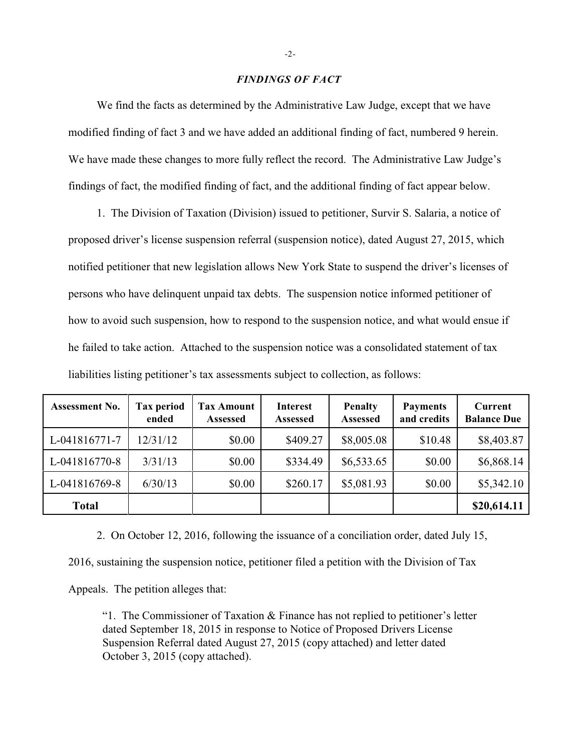### *FINDINGS OF FACT*

We find the facts as determined by the Administrative Law Judge, except that we have modified finding of fact 3 and we have added an additional finding of fact, numbered 9 herein. We have made these changes to more fully reflect the record. The Administrative Law Judge's findings of fact, the modified finding of fact, and the additional finding of fact appear below.

1. The Division of Taxation (Division) issued to petitioner, Survir S. Salaria, a notice of proposed driver's license suspension referral (suspension notice), dated August 27, 2015, which notified petitioner that new legislation allows New York State to suspend the driver's licenses of persons who have delinquent unpaid tax debts. The suspension notice informed petitioner of how to avoid such suspension, how to respond to the suspension notice, and what would ensue if he failed to take action. Attached to the suspension notice was a consolidated statement of tax liabilities listing petitioner's tax assessments subject to collection, as follows:

| <b>Assessment No.</b> | Tax period<br>ended | <b>Tax Amount</b><br><b>Assessed</b> | Interest<br>Assessed | <b>Penalty</b><br>Assessed | <b>Payments</b><br>and credits | <b>Current</b><br><b>Balance Due</b> |
|-----------------------|---------------------|--------------------------------------|----------------------|----------------------------|--------------------------------|--------------------------------------|
| L-041816771-7         | 12/31/12            | \$0.00                               | \$409.27             | \$8,005.08                 | \$10.48                        | \$8,403.87                           |
| L-041816770-8         | 3/31/13             | \$0.00                               | \$334.49             | \$6,533.65                 | \$0.00                         | \$6,868.14                           |
| L-041816769-8         | 6/30/13             | \$0.00                               | \$260.17             | \$5,081.93                 | \$0.00                         | \$5,342.10                           |
| <b>Total</b>          |                     |                                      |                      |                            |                                | \$20,614.11                          |

2. On October 12, 2016, following the issuance of a conciliation order, dated July 15,

2016, sustaining the suspension notice, petitioner filed a petition with the Division of Tax

Appeals. The petition alleges that:

"1. The Commissioner of Taxation  $&$  Finance has not replied to petitioner's letter dated September 18, 2015 in response to Notice of Proposed Drivers License Suspension Referral dated August 27, 2015 (copy attached) and letter dated October 3, 2015 (copy attached).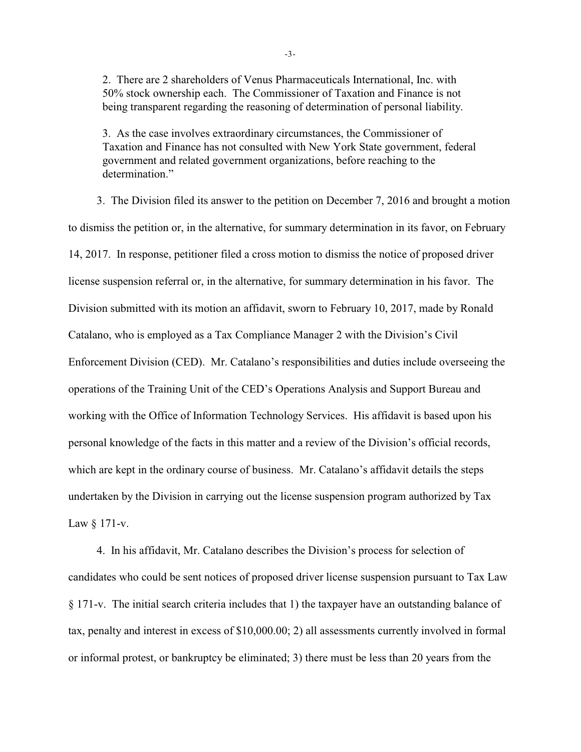2. There are 2 shareholders of Venus Pharmaceuticals International, Inc. with 50% stock ownership each. The Commissioner of Taxation and Finance is not being transparent regarding the reasoning of determination of personal liability.

3. As the case involves extraordinary circumstances, the Commissioner of Taxation and Finance has not consulted with New York State government, federal government and related government organizations, before reaching to the determination"

3. The Division filed its answer to the petition on December 7, 2016 and brought a motion to dismiss the petition or, in the alternative, for summary determination in its favor, on February 14, 2017. In response, petitioner filed a cross motion to dismiss the notice of proposed driver license suspension referral or, in the alternative, for summary determination in his favor. The Division submitted with its motion an affidavit, sworn to February 10, 2017, made by Ronald Catalano, who is employed as a Tax Compliance Manager 2 with the Division's Civil Enforcement Division (CED). Mr. Catalano's responsibilities and duties include overseeing the operations of the Training Unit of the CED's Operations Analysis and Support Bureau and working with the Office of Information Technology Services. His affidavit is based upon his personal knowledge of the facts in this matter and a review of the Division's official records, which are kept in the ordinary course of business. Mr. Catalano's affidavit details the steps undertaken by the Division in carrying out the license suspension program authorized by Tax Law § 171-v.

4. In his affidavit, Mr. Catalano describes the Division's process for selection of candidates who could be sent notices of proposed driver license suspension pursuant to Tax Law § 171-v. The initial search criteria includes that 1) the taxpayer have an outstanding balance of tax, penalty and interest in excess of \$10,000.00; 2) all assessments currently involved in formal or informal protest, or bankruptcy be eliminated; 3) there must be less than 20 years from the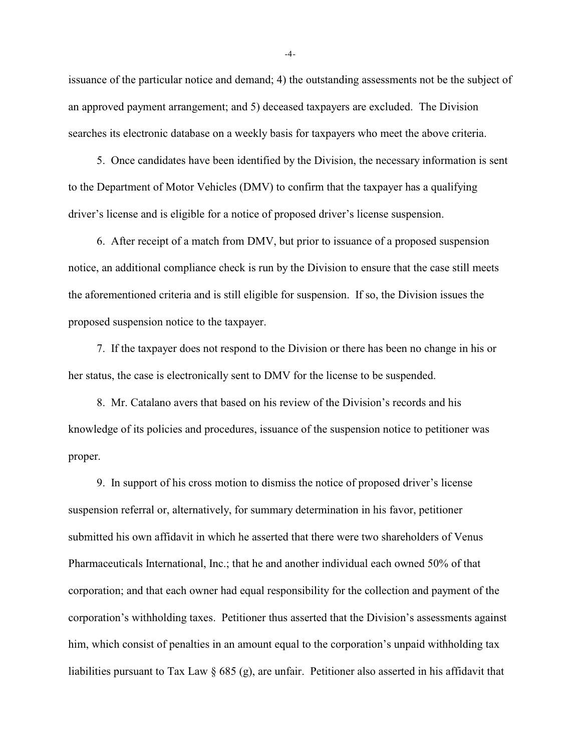issuance of the particular notice and demand; 4) the outstanding assessments not be the subject of an approved payment arrangement; and 5) deceased taxpayers are excluded. The Division searches its electronic database on a weekly basis for taxpayers who meet the above criteria.

5. Once candidates have been identified by the Division, the necessary information is sent to the Department of Motor Vehicles (DMV) to confirm that the taxpayer has a qualifying driver's license and is eligible for a notice of proposed driver's license suspension.

6. After receipt of a match from DMV, but prior to issuance of a proposed suspension notice, an additional compliance check is run by the Division to ensure that the case still meets the aforementioned criteria and is still eligible for suspension. If so, the Division issues the proposed suspension notice to the taxpayer.

7. If the taxpayer does not respond to the Division or there has been no change in his or her status, the case is electronically sent to DMV for the license to be suspended.

8. Mr. Catalano avers that based on his review of the Division's records and his knowledge of its policies and procedures, issuance of the suspension notice to petitioner was proper.

9. In support of his cross motion to dismiss the notice of proposed driver's license suspension referral or, alternatively, for summary determination in his favor, petitioner submitted his own affidavit in which he asserted that there were two shareholders of Venus Pharmaceuticals International, Inc.; that he and another individual each owned 50% of that corporation; and that each owner had equal responsibility for the collection and payment of the corporation's withholding taxes. Petitioner thus asserted that the Division's assessments against him, which consist of penalties in an amount equal to the corporation's unpaid withholding tax liabilities pursuant to Tax Law § 685 (g), are unfair. Petitioner also asserted in his affidavit that

-4-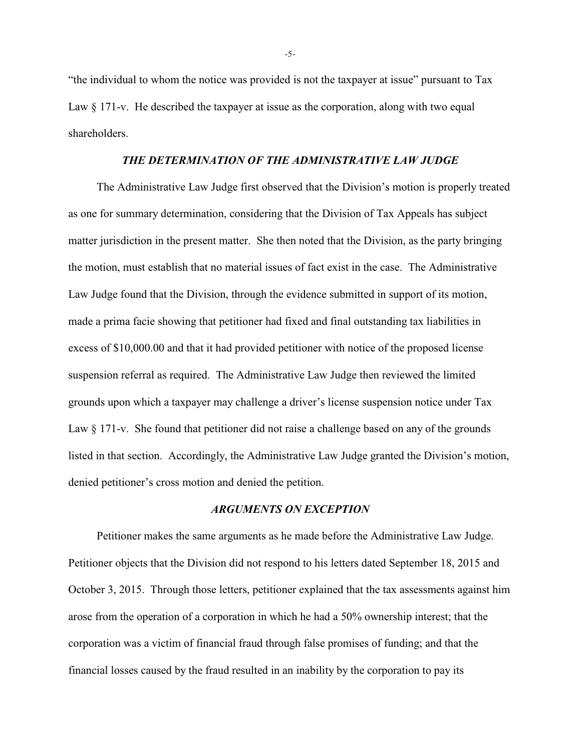"the individual to whom the notice was provided is not the taxpayer at issue" pursuant to Tax Law  $\S 171$ -v. He described the taxpayer at issue as the corporation, along with two equal shareholders.

## *THE DETERMINATION OF THE ADMINISTRATIVE LAW JUDGE*

The Administrative Law Judge first observed that the Division's motion is properly treated as one for summary determination, considering that the Division of Tax Appeals has subject matter jurisdiction in the present matter. She then noted that the Division, as the party bringing the motion, must establish that no material issues of fact exist in the case. The Administrative Law Judge found that the Division, through the evidence submitted in support of its motion, made a prima facie showing that petitioner had fixed and final outstanding tax liabilities in excess of \$10,000.00 and that it had provided petitioner with notice of the proposed license suspension referral as required. The Administrative Law Judge then reviewed the limited grounds upon which a taxpayer may challenge a driver's license suspension notice under Tax Law  $\S 171$ -v. She found that petitioner did not raise a challenge based on any of the grounds listed in that section. Accordingly, the Administrative Law Judge granted the Division's motion, denied petitioner's cross motion and denied the petition.

#### *ARGUMENTS ON EXCEPTION*

Petitioner makes the same arguments as he made before the Administrative Law Judge. Petitioner objects that the Division did not respond to his letters dated September 18, 2015 and October 3, 2015. Through those letters, petitioner explained that the tax assessments against him arose from the operation of a corporation in which he had a 50% ownership interest; that the corporation was a victim of financial fraud through false promises of funding; and that the financial losses caused by the fraud resulted in an inability by the corporation to pay its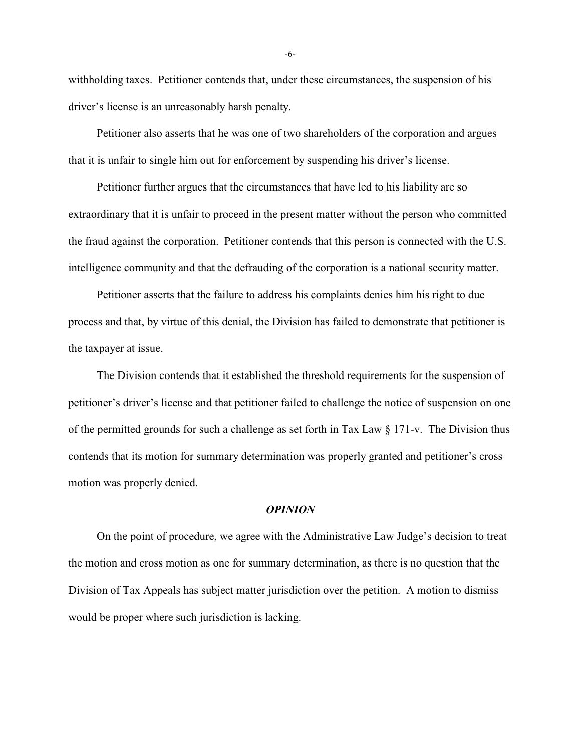withholding taxes. Petitioner contends that, under these circumstances, the suspension of his driver's license is an unreasonably harsh penalty.

Petitioner also asserts that he was one of two shareholders of the corporation and argues that it is unfair to single him out for enforcement by suspending his driver's license.

Petitioner further argues that the circumstances that have led to his liability are so extraordinary that it is unfair to proceed in the present matter without the person who committed the fraud against the corporation. Petitioner contends that this person is connected with the U.S. intelligence community and that the defrauding of the corporation is a national security matter.

Petitioner asserts that the failure to address his complaints denies him his right to due process and that, by virtue of this denial, the Division has failed to demonstrate that petitioner is the taxpayer at issue.

The Division contends that it established the threshold requirements for the suspension of petitioner's driver's license and that petitioner failed to challenge the notice of suspension on one of the permitted grounds for such a challenge as set forth in Tax Law § 171-v. The Division thus contends that its motion for summary determination was properly granted and petitioner's cross motion was properly denied.

#### *OPINION*

On the point of procedure, we agree with the Administrative Law Judge's decision to treat the motion and cross motion as one for summary determination, as there is no question that the Division of Tax Appeals has subject matter jurisdiction over the petition. A motion to dismiss would be proper where such jurisdiction is lacking.

-6-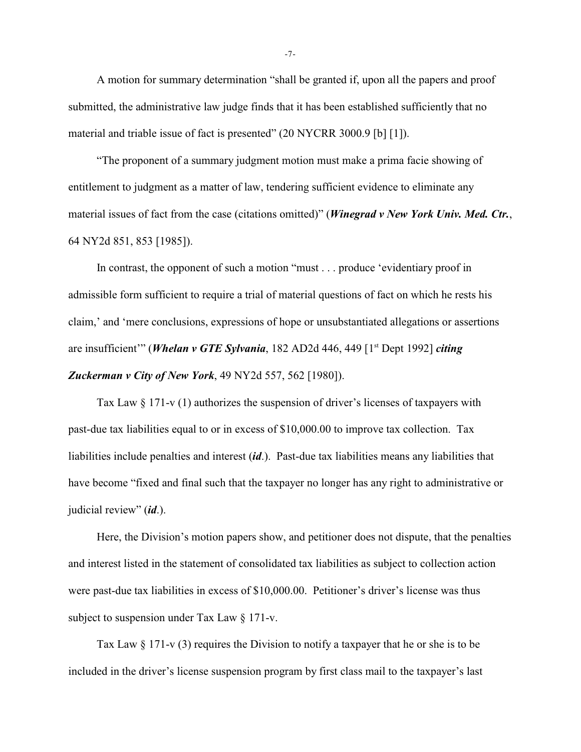A motion for summary determination "shall be granted if, upon all the papers and proof submitted, the administrative law judge finds that it has been established sufficiently that no material and triable issue of fact is presented" (20 NYCRR 3000.9 [b] [1]).

"The proponent of a summary judgment motion must make a prima facie showing of entitlement to judgment as a matter of law, tendering sufficient evidence to eliminate any material issues of fact from the case (citations omitted)" (*Winegrad v New York Univ. Med. Ctr.*, 64 NY2d 851, 853 [1985]).

In contrast, the opponent of such a motion "must . . . produce 'evidentiary proof in admissible form sufficient to require a trial of material questions of fact on which he rests his claim,' and 'mere conclusions, expressions of hope or unsubstantiated allegations or assertions are insufficient'" (*Whelan v GTE Sylvania*, 182 AD2d 446, 449 [1<sup>st</sup> Dept 1992] *citing Zuckerman v City of New York*, 49 NY2d 557, 562 [1980]).

Tax Law § 171-v (1) authorizes the suspension of driver's licenses of taxpayers with past-due tax liabilities equal to or in excess of \$10,000.00 to improve tax collection. Tax liabilities include penalties and interest (*id*.). Past-due tax liabilities means any liabilities that have become "fixed and final such that the taxpayer no longer has any right to administrative or judicial review" (*id*.).

Here, the Division's motion papers show, and petitioner does not dispute, that the penalties and interest listed in the statement of consolidated tax liabilities as subject to collection action were past-due tax liabilities in excess of \$10,000.00. Petitioner's driver's license was thus subject to suspension under Tax Law § 171-v.

Tax Law  $\S 171$ -v (3) requires the Division to notify a taxpayer that he or she is to be included in the driver's license suspension program by first class mail to the taxpayer's last

-7-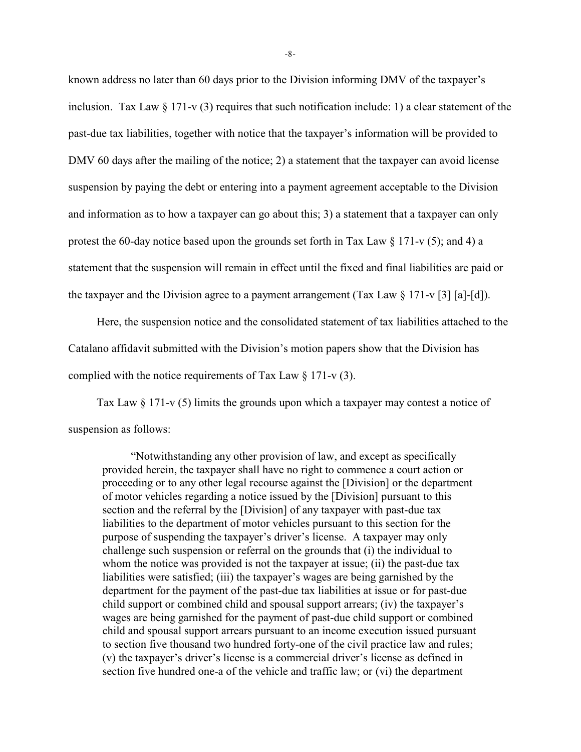known address no later than 60 days prior to the Division informing DMV of the taxpayer's inclusion. Tax Law  $\S 171-v(3)$  requires that such notification include: 1) a clear statement of the past-due tax liabilities, together with notice that the taxpayer's information will be provided to DMV 60 days after the mailing of the notice; 2) a statement that the taxpayer can avoid license suspension by paying the debt or entering into a payment agreement acceptable to the Division and information as to how a taxpayer can go about this; 3) a statement that a taxpayer can only protest the 60-day notice based upon the grounds set forth in Tax Law § 171-v (5); and 4) a statement that the suspension will remain in effect until the fixed and final liabilities are paid or the taxpayer and the Division agree to a payment arrangement (Tax Law  $\S 171$ -v [3] [a]-[d]).

Here, the suspension notice and the consolidated statement of tax liabilities attached to the Catalano affidavit submitted with the Division's motion papers show that the Division has complied with the notice requirements of Tax Law  $\S 171-v(3)$ .

Tax Law § 171-v (5) limits the grounds upon which a taxpayer may contest a notice of suspension as follows:

"Notwithstanding any other provision of law, and except as specifically provided herein, the taxpayer shall have no right to commence a court action or proceeding or to any other legal recourse against the [Division] or the department of motor vehicles regarding a notice issued by the [Division] pursuant to this section and the referral by the [Division] of any taxpayer with past-due tax liabilities to the department of motor vehicles pursuant to this section for the purpose of suspending the taxpayer's driver's license. A taxpayer may only challenge such suspension or referral on the grounds that (i) the individual to whom the notice was provided is not the taxpayer at issue; (ii) the past-due tax liabilities were satisfied; (iii) the taxpayer's wages are being garnished by the department for the payment of the past-due tax liabilities at issue or for past-due child support or combined child and spousal support arrears; (iv) the taxpayer's wages are being garnished for the payment of past-due child support or combined child and spousal support arrears pursuant to an income execution issued pursuant to section five thousand two hundred forty-one of the civil practice law and rules; (v) the taxpayer's driver's license is a commercial driver's license as defined in section five hundred one-a of the vehicle and traffic law; or (vi) the department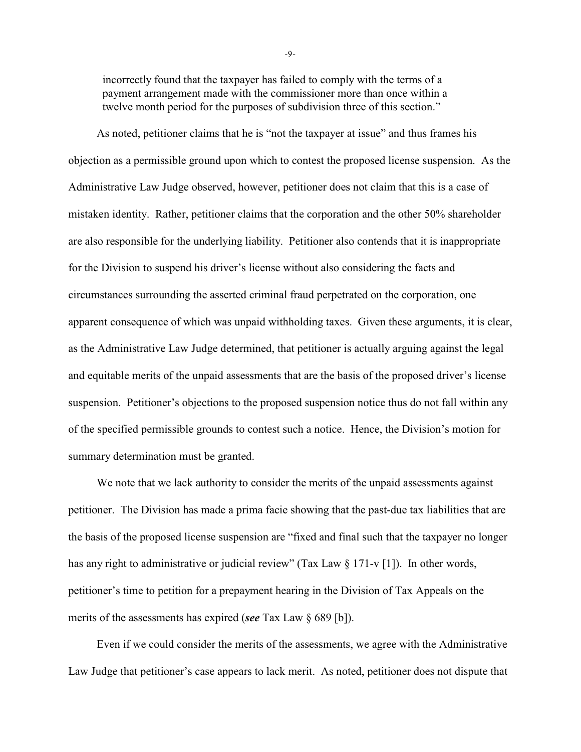incorrectly found that the taxpayer has failed to comply with the terms of a payment arrangement made with the commissioner more than once within a twelve month period for the purposes of subdivision three of this section."

As noted, petitioner claims that he is "not the taxpayer at issue" and thus frames his objection as a permissible ground upon which to contest the proposed license suspension. As the Administrative Law Judge observed, however, petitioner does not claim that this is a case of mistaken identity. Rather, petitioner claims that the corporation and the other 50% shareholder are also responsible for the underlying liability. Petitioner also contends that it is inappropriate for the Division to suspend his driver's license without also considering the facts and circumstances surrounding the asserted criminal fraud perpetrated on the corporation, one apparent consequence of which was unpaid withholding taxes. Given these arguments, it is clear, as the Administrative Law Judge determined, that petitioner is actually arguing against the legal and equitable merits of the unpaid assessments that are the basis of the proposed driver's license suspension. Petitioner's objections to the proposed suspension notice thus do not fall within any of the specified permissible grounds to contest such a notice. Hence, the Division's motion for summary determination must be granted.

We note that we lack authority to consider the merits of the unpaid assessments against petitioner. The Division has made a prima facie showing that the past-due tax liabilities that are the basis of the proposed license suspension are "fixed and final such that the taxpayer no longer has any right to administrative or judicial review" (Tax Law § 171-v [1]). In other words, petitioner's time to petition for a prepayment hearing in the Division of Tax Appeals on the merits of the assessments has expired (*see* Tax Law § 689 [b]).

Even if we could consider the merits of the assessments, we agree with the Administrative Law Judge that petitioner's case appears to lack merit. As noted, petitioner does not dispute that

-9-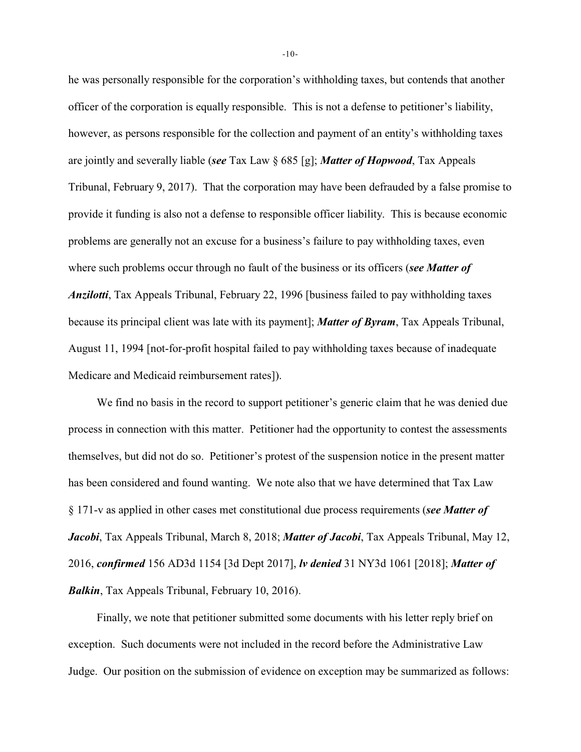he was personally responsible for the corporation's withholding taxes, but contends that another officer of the corporation is equally responsible. This is not a defense to petitioner's liability, however, as persons responsible for the collection and payment of an entity's withholding taxes are jointly and severally liable (*see* Tax Law § 685 [g]; *Matter of Hopwood*, Tax Appeals Tribunal, February 9, 2017). That the corporation may have been defrauded by a false promise to provide it funding is also not a defense to responsible officer liability. This is because economic problems are generally not an excuse for a business's failure to pay withholding taxes, even where such problems occur through no fault of the business or its officers (*see Matter of Anzilotti*, Tax Appeals Tribunal, February 22, 1996 [business failed to pay withholding taxes because its principal client was late with its payment]; *Matter of Byram*, Tax Appeals Tribunal, August 11, 1994 [not-for-profit hospital failed to pay withholding taxes because of inadequate Medicare and Medicaid reimbursement rates]).

We find no basis in the record to support petitioner's generic claim that he was denied due process in connection with this matter. Petitioner had the opportunity to contest the assessments themselves, but did not do so. Petitioner's protest of the suspension notice in the present matter has been considered and found wanting. We note also that we have determined that Tax Law § 171-v as applied in other cases met constitutional due process requirements (*see Matter of Jacobi*, Tax Appeals Tribunal, March 8, 2018; *Matter of Jacobi*, Tax Appeals Tribunal, May 12, 2016, *confirmed* 156 AD3d 1154 [3d Dept 2017], *lv denied* 31 NY3d 1061 [2018]; *Matter of Balkin*, Tax Appeals Tribunal, February 10, 2016).

Finally, we note that petitioner submitted some documents with his letter reply brief on exception. Such documents were not included in the record before the Administrative Law Judge. Our position on the submission of evidence on exception may be summarized as follows:

-10-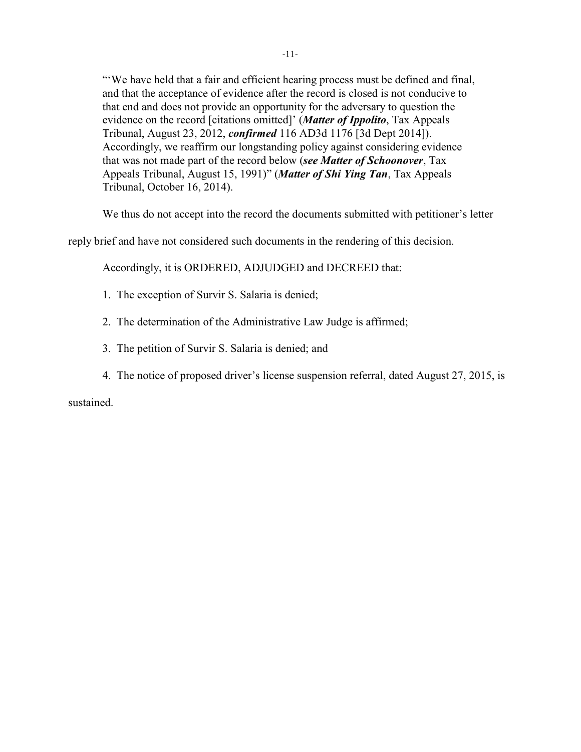"'We have held that a fair and efficient hearing process must be defined and final, and that the acceptance of evidence after the record is closed is not conducive to that end and does not provide an opportunity for the adversary to question the evidence on the record [citations omitted]' (*Matter of Ippolito*, Tax Appeals Tribunal, August 23, 2012, *confirmed* 116 AD3d 1176 [3d Dept 2014]). Accordingly, we reaffirm our longstanding policy against considering evidence that was not made part of the record below (*see Matter of Schoonover*, Tax Appeals Tribunal, August 15, 1991)" (*Matter of Shi Ying Tan*, Tax Appeals Tribunal, October 16, 2014).

We thus do not accept into the record the documents submitted with petitioner's letter

reply brief and have not considered such documents in the rendering of this decision.

Accordingly, it is ORDERED, ADJUDGED and DECREED that:

- 1. The exception of Survir S. Salaria is denied;
- 2. The determination of the Administrative Law Judge is affirmed;
- 3. The petition of Survir S. Salaria is denied; and
- 4. The notice of proposed driver's license suspension referral, dated August 27, 2015, is

sustained.